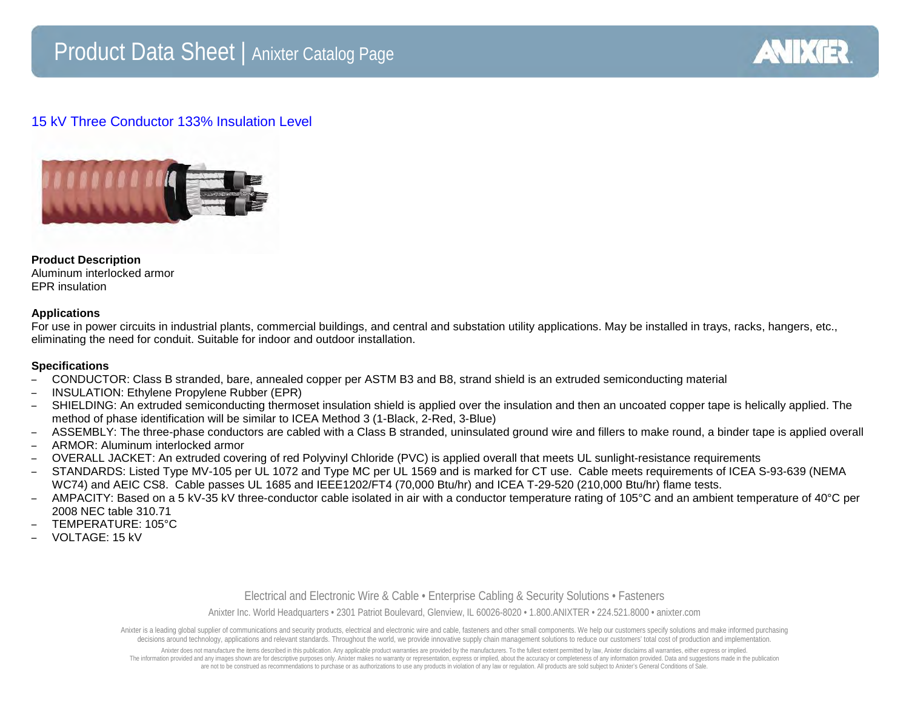

# 15 kV Three Conductor 133% Insulation Level



# **Product Description**

Aluminum interlocked armor EPR insulation

# **Applications**

For use in power circuits in industrial plants, commercial buildings, and central and substation utility applications. May be installed in trays, racks, hangers, etc., eliminating the need for conduit. Suitable for indoor and outdoor installation.

### **Specifications**

- CONDUCTOR: Class B stranded, bare, annealed copper per ASTM B3 and B8, strand shield is an extruded semiconducting material
- INSULATION: Ethylene Propylene Rubber (EPR)
- SHIELDING: An extruded semiconducting thermoset insulation shield is applied over the insulation and then an uncoated copper tape is helically applied. The method of phase identification will be similar to ICEA Method 3 (1-Black, 2-Red, 3-Blue)
- ASSEMBLY: The three-phase conductors are cabled with a Class B stranded, uninsulated ground wire and fillers to make round, a binder tape is applied overall
- ARMOR: Aluminum interlocked armor
- OVERALL JACKET: An extruded covering of red Polyvinyl Chloride (PVC) is applied overall that meets UL sunlight-resistance requirements
- STANDARDS: Listed Type MV-105 per UL 1072 and Type MC per UL 1569 and is marked for CT use. Cable meets requirements of ICEA S-93-639 (NEMA WC74) and AEIC CS8. Cable passes UL 1685 and IEEE1202/FT4 (70,000 Btu/hr) and ICEA T-29-520 (210,000 Btu/hr) flame tests.
- $-$  AMPACITY: Based on a 5 kV-35 kV three-conductor cable isolated in air with a conductor temperature rating of 105°C and an ambient temperature of 40°C per 2008 NEC table 310.71
- TEMPERATURE: 105°C
- VOLTAGE: 15 kV

### Electrical and Electronic Wire & Cable • Enterprise Cabling & Security Solutions • Fasteners

Anixter Inc. World Headquarters • 2301 Patriot Boulevard, Glenview, IL 60026-8020 • 1.800.ANIXTER • 224.521.8000 • anixter.com

Anixter is a leading dobal supplier of communications and security products, electrical and electronic wire and cable, fasteners and other small components. We help our customers specify solutions and make informed purchas decisions around technology, applications and relevant standards. Throughout the world, we provide innovative supply chain management solutions to reduce our customers' total cost of production and implementation.

Anixter does not manufacture the items described in this publication. Any applicable product warranties are provided by the manufacturers. To the fullest extent permitted by law, Anixter disclaims all warranties, either ex The information provided and any images shown are for descriptive purposes only. Anixter makes no warranty or representation, express or implied, about the accuracy or completeness of any information provided. Data and sug are not to be construed as recommendations to purchase or as authorizations to use any products in violation of any law or regulation. All products are sold subject to Anixter's General Conditions of Sale.